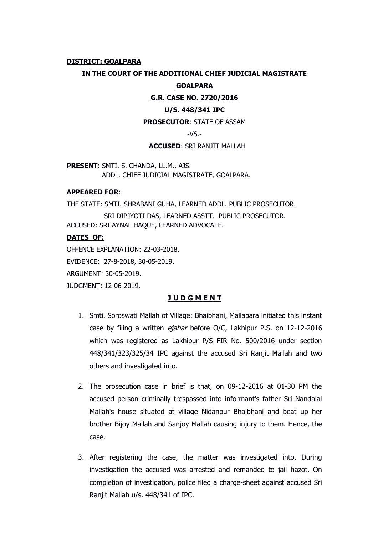# **DISTRICT: GOALPARA**

### **IN THE COURT OF THE ADDITIONAL CHIEF JUDICIAL MAGISTRATE**

### **GOALPARA**

### **G.R. CASE NO. 2720/2016**

# **U/S. 448/341 IPC**

**PROSECUTOR**: STATE OF ASSAM

 $-VS$ .-

#### **ACCUSED**: SRI RANJIT MALLAH

**PRESENT**: SMTI. S. CHANDA, LL.M., AJS. ADDL. CHIEF JUDICIAL MAGISTRATE, GOALPARA.

### **APPEARED FOR**:

THE STATE: SMTI. SHRABANI GUHA, LEARNED ADDL. PUBLIC PROSECUTOR.

 SRI DIPJYOTI DAS, LEARNED ASSTT. PUBLIC PROSECUTOR. ACCUSED: SRI AYNAL HAQUE, LEARNED ADVOCATE.

### **DATES OF:**

OFFENCE EXPLANATION: 22-03-2018.

EVIDENCE: 27-8-2018, 30-05-2019.

ARGUMENT: 30-05-2019.

JUDGMENT: 12-06-2019.

# **J U D G M E N T**

- 1. Smti. Soroswati Mallah of Village: Bhaibhani, Mallapara initiated this instant case by filing a written ejahar before O/C, Lakhipur P.S. on 12-12-2016 which was registered as Lakhipur P/S FIR No. 500/2016 under section 448/341/323/325/34 IPC against the accused Sri Ranjit Mallah and two others and investigated into.
- 2. The prosecution case in brief is that, on 09-12-2016 at 01-30 PM the accused person criminally trespassed into informant's father Sri Nandalal Mallah's house situated at village Nidanpur Bhaibhani and beat up her brother Bijoy Mallah and Sanjoy Mallah causing injury to them. Hence, the case.
- 3. After registering the case, the matter was investigated into. During investigation the accused was arrested and remanded to jail hazot. On completion of investigation, police filed a charge-sheet against accused Sri Ranjit Mallah u/s. 448/341 of IPC.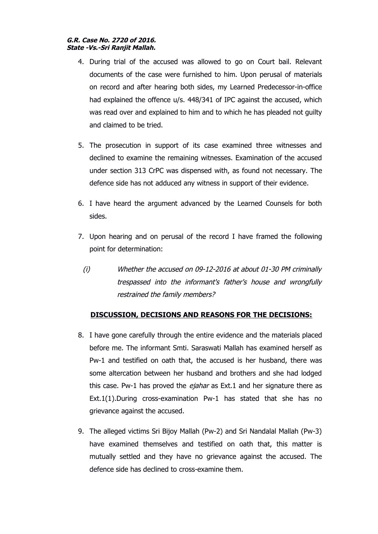# **G.R. Case No. 2720 of 2016. State -Vs.-Sri Ranjit Mallah.**

- 4. During trial of the accused was allowed to go on Court bail. Relevant documents of the case were furnished to him. Upon perusal of materials on record and after hearing both sides, my Learned Predecessor-in-office had explained the offence u/s. 448/341 of IPC against the accused, which was read over and explained to him and to which he has pleaded not guilty and claimed to be tried.
- 5. The prosecution in support of its case examined three witnesses and declined to examine the remaining witnesses. Examination of the accused under section 313 CrPC was dispensed with, as found not necessary. The defence side has not adduced any witness in support of their evidence.
- 6. I have heard the argument advanced by the Learned Counsels for both sides.
- 7. Upon hearing and on perusal of the record I have framed the following point for determination:
	- (i) Whether the accused on 09-12-2016 at about 01-30 PM criminally trespassed into the informant's father's house and wrongfully restrained the family members?

# **DISCUSSION, DECISIONS AND REASONS FOR THE DECISIONS:**

- 8. I have gone carefully through the entire evidence and the materials placed before me. The informant Smti. Saraswati Mallah has examined herself as Pw-1 and testified on oath that, the accused is her husband, there was some altercation between her husband and brothers and she had lodged this case. Pw-1 has proved the *ejahar* as Ext.1 and her signature there as Ext.1(1).During cross-examination Pw-1 has stated that she has no grievance against the accused.
- 9. The alleged victims Sri Bijoy Mallah (Pw-2) and Sri Nandalal Mallah (Pw-3) have examined themselves and testified on oath that, this matter is mutually settled and they have no grievance against the accused. The defence side has declined to cross-examine them.